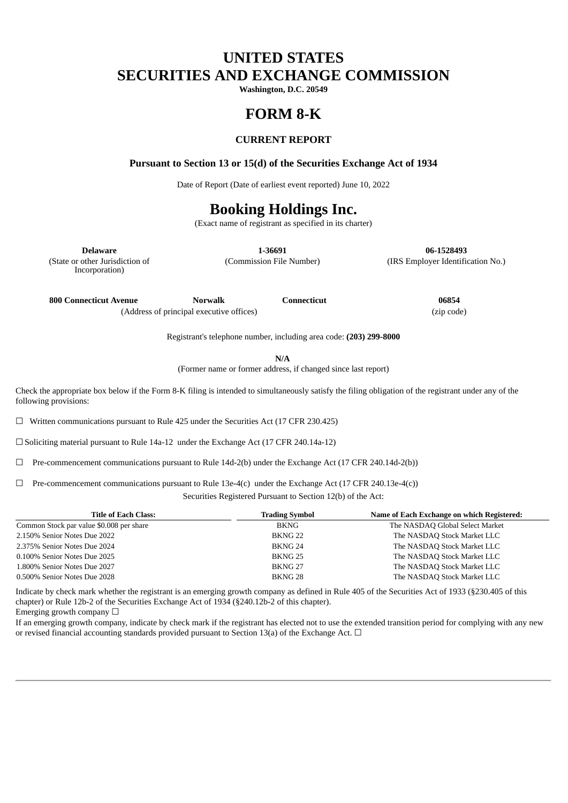# **UNITED STATES SECURITIES AND EXCHANGE COMMISSION**

**Washington, D.C. 20549**

## **FORM 8-K**

### **CURRENT REPORT**

#### **Pursuant to Section 13 or 15(d) of the Securities Exchange Act of 1934**

Date of Report (Date of earliest event reported) June 10, 2022

# **Booking Holdings Inc.**

(Exact name of registrant as specified in its charter)

(State or other Jurisdiction of Incorporation)

**Delaware 1-36691 06-1528493** (Commission File Number) (IRS Employer Identification No.)

**800 Connecticut Avenue Norwalk Connecticut 06854** (Address of principal executive offices) (zip code)

Registrant's telephone number, including area code: **(203) 299-8000**

**N/A**

(Former name or former address, if changed since last report)

Check the appropriate box below if the Form 8-K filing is intended to simultaneously satisfy the filing obligation of the registrant under any of the following provisions:

☐ Written communications pursuant to Rule 425 under the Securities Act (17 CFR 230.425)

☐ Soliciting material pursuant to Rule 14a-12 under the Exchange Act (17 CFR 240.14a-12)

 $\Box$  Pre-commencement communications pursuant to Rule 14d-2(b) under the Exchange Act (17 CFR 240.14d-2(b))

 $\Box$  Pre-commencement communications pursuant to Rule 13e-4(c) under the Exchange Act (17 CFR 240.13e-4(c))

Securities Registered Pursuant to Section 12(b) of the Act:

| <b>Title of Each Class:</b>              | <b>Trading Symbol</b> | Name of Each Exchange on which Registered: |
|------------------------------------------|-----------------------|--------------------------------------------|
| Common Stock par value \$0.008 per share | BKNG                  | The NASDAQ Global Select Market            |
| 2.150% Senior Notes Due 2022             | BKNG <sub>22</sub>    | The NASDAQ Stock Market LLC                |
| 2.375% Senior Notes Due 2024             | BKNG <sub>24</sub>    | The NASDAQ Stock Market LLC                |
| 0.100% Senior Notes Due 2025             | BKNG <sub>25</sub>    | The NASDAQ Stock Market LLC                |
| 1.800% Senior Notes Due 2027             | BKNG <sub>27</sub>    | The NASDAQ Stock Market LLC                |
| 0.500% Senior Notes Due 2028             | BKNG <sub>28</sub>    | The NASDAQ Stock Market LLC                |

Indicate by check mark whether the registrant is an emerging growth company as defined in Rule 405 of the Securities Act of 1933 (§230.405 of this chapter) or Rule 12b-2 of the Securities Exchange Act of 1934 (§240.12b-2 of this chapter).

Emerging growth company  $\Box$ 

If an emerging growth company, indicate by check mark if the registrant has elected not to use the extended transition period for complying with any new or revised financial accounting standards provided pursuant to Section 13(a) of the Exchange Act.  $\Box$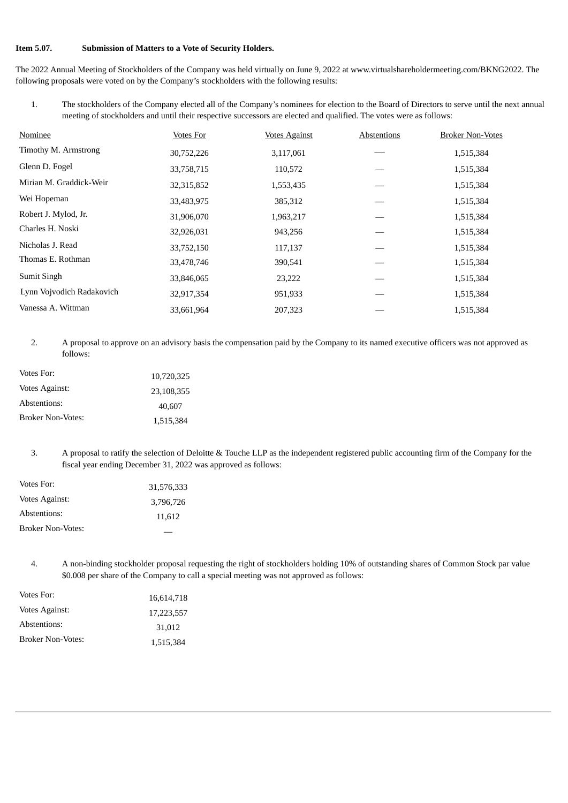### **Item 5.07. Submission of Matters to a Vote of Security Holders.**

The 2022 Annual Meeting of Stockholders of the Company was held virtually on June 9, 2022 at www.virtualshareholdermeeting.com/BKNG2022. The following proposals were voted on by the Company's stockholders with the following results:

1. The stockholders of the Company elected all of the Company's nominees for election to the Board of Directors to serve until the next annual meeting of stockholders and until their respective successors are elected and qualified. The votes were as follows:

| Nominee                   | <b>Votes For</b> | <b>Votes Against</b> | Abstentions | <b>Broker Non-Votes</b> |
|---------------------------|------------------|----------------------|-------------|-------------------------|
| Timothy M. Armstrong      | 30,752,226       | 3,117,061            |             | 1,515,384               |
| Glenn D. Fogel            | 33,758,715       | 110,572              |             | 1,515,384               |
| Mirian M. Graddick-Weir   | 32,315,852       | 1,553,435            |             | 1,515,384               |
| Wei Hopeman               | 33,483,975       | 385,312              |             | 1,515,384               |
| Robert J. Mylod, Jr.      | 31,906,070       | 1,963,217            |             | 1,515,384               |
| Charles H. Noski          | 32,926,031       | 943,256              |             | 1,515,384               |
| Nicholas J. Read          | 33,752,150       | 117,137              |             | 1,515,384               |
| Thomas E. Rothman         | 33,478,746       | 390,541              |             | 1,515,384               |
| Sumit Singh               | 33,846,065       | 23,222               |             | 1,515,384               |
| Lynn Vojvodich Radakovich | 32,917,354       | 951,933              |             | 1,515,384               |
| Vanessa A. Wittman        | 33,661,964       | 207,323              |             | 1,515,384               |

2. A proposal to approve on an advisory basis the compensation paid by the Company to its named executive officers was not approved as follows:

| Votes For:               | 10,720,325 |
|--------------------------|------------|
| Votes Against:           | 23.108.355 |
| Abstentions:             | 40,607     |
| <b>Broker Non-Votes:</b> | 1,515,384  |

3. A proposal to ratify the selection of Deloitte & Touche LLP as the independent registered public accounting firm of the Company for the fiscal year ending December 31, 2022 was approved as follows:

| Votes For:               | 31,576,333 |
|--------------------------|------------|
| Votes Against:           | 3.796.726  |
| Abstentions:             | 11,612     |
| <b>Broker Non-Votes:</b> |            |

4. A non-binding stockholder proposal requesting the right of stockholders holding 10% of outstanding shares of Common Stock par value \$0.008 per share of the Company to call a special meeting was not approved as follows:

| Votes For:               | 16,614,718 |
|--------------------------|------------|
| Votes Against:           | 17.223.557 |
| Abstentions:             | 31,012     |
| <b>Broker Non-Votes:</b> | 1,515,384  |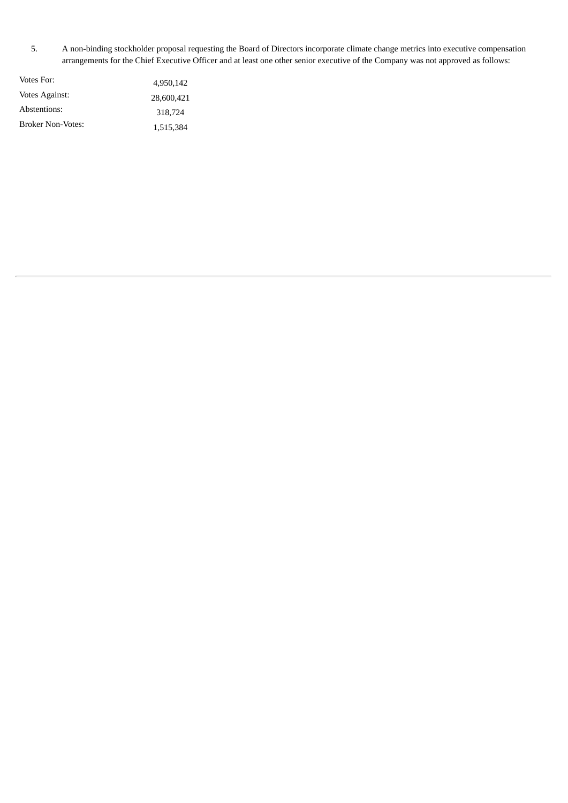5. A non-binding stockholder proposal requesting the Board of Directors incorporate climate change metrics into executive compensation arrangements for the Chief Executive Officer and at least one other senior executive of the Company was not approved as follows:

| Votes For:        | 4.950.142  |
|-------------------|------------|
| Votes Against:    | 28,600,421 |
| Abstentions:      | 318.724    |
| Broker Non-Votes: | 1,515,384  |